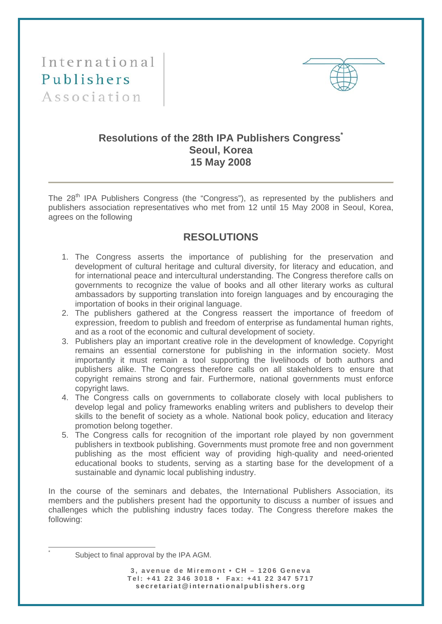International Publishers Association



## **Resolutions of the 28th IPA Publishers Congress\* Seoul, Korea 15 May 2008**

The 28<sup>th</sup> IPA Publishers Congress (the "Congress"), as represented by the publishers and publishers association representatives who met from 12 until 15 May 2008 in Seoul, Korea, agrees on the following

## **RESOLUTIONS**

- 1. The Congress asserts the importance of publishing for the preservation and development of cultural heritage and cultural diversity, for literacy and education, and for international peace and intercultural understanding. The Congress therefore calls on governments to recognize the value of books and all other literary works as cultural ambassadors by supporting translation into foreign languages and by encouraging the importation of books in their original language.
- 2. The publishers gathered at the Congress reassert the importance of freedom of expression, freedom to publish and freedom of enterprise as fundamental human rights, and as a root of the economic and cultural development of society.
- 3. Publishers play an important creative role in the development of knowledge. Copyright remains an essential cornerstone for publishing in the information society. Most importantly it must remain a tool supporting the livelihoods of both authors and publishers alike. The Congress therefore calls on all stakeholders to ensure that copyright remains strong and fair. Furthermore, national governments must enforce copyright laws.
- 4. The Congress calls on governments to collaborate closely with local publishers to develop legal and policy frameworks enabling writers and publishers to develop their skills to the benefit of society as a whole. National book policy, education and literacy promotion belong together.
- 5. The Congress calls for recognition of the important role played by non government publishers in textbook publishing. Governments must promote free and non government publishing as the most efficient way of providing high-quality and need-oriented educational books to students, serving as a starting base for the development of a sustainable and dynamic local publishing industry.

In the course of the seminars and debates, the International Publishers Association, its members and the publishers present had the opportunity to discuss a number of issues and challenges which the publishing industry faces today. The Congress therefore makes the following:

 $\overline{a}$ \*

Subject to final approval by the IPA AGM.